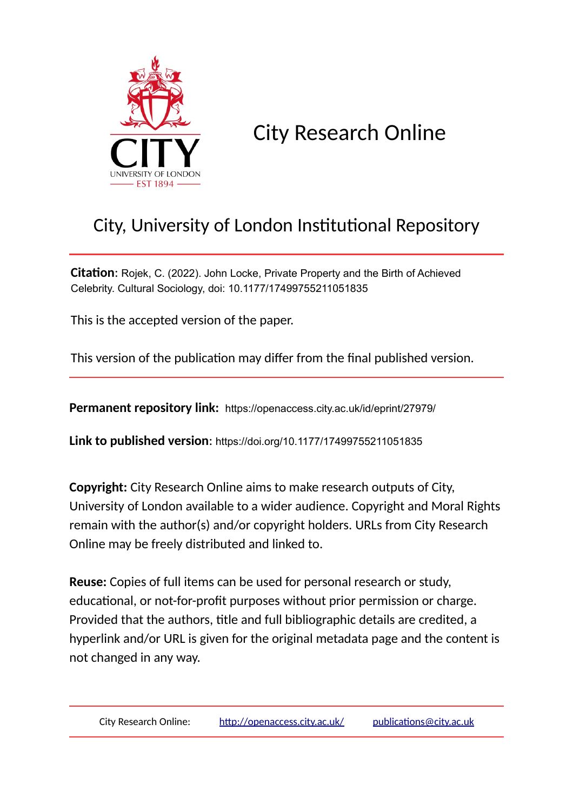

City Research Online

# City, University of London Institutional Repository

**Citation**: Rojek, C. (2022). John Locke, Private Property and the Birth of Achieved Celebrity. Cultural Sociology, doi: 10.1177/17499755211051835

This is the accepted version of the paper.

This version of the publication may differ from the final published version.

**Permanent repository link:** https://openaccess.city.ac.uk/id/eprint/27979/

**Link to published version**: https://doi.org/10.1177/17499755211051835

**Copyright:** City Research Online aims to make research outputs of City, University of London available to a wider audience. Copyright and Moral Rights remain with the author(s) and/or copyright holders. URLs from City Research Online may be freely distributed and linked to.

**Reuse:** Copies of full items can be used for personal research or study, educational, or not-for-profit purposes without prior permission or charge. Provided that the authors, title and full bibliographic details are credited, a hyperlink and/or URL is given for the original metadata page and the content is not changed in any way.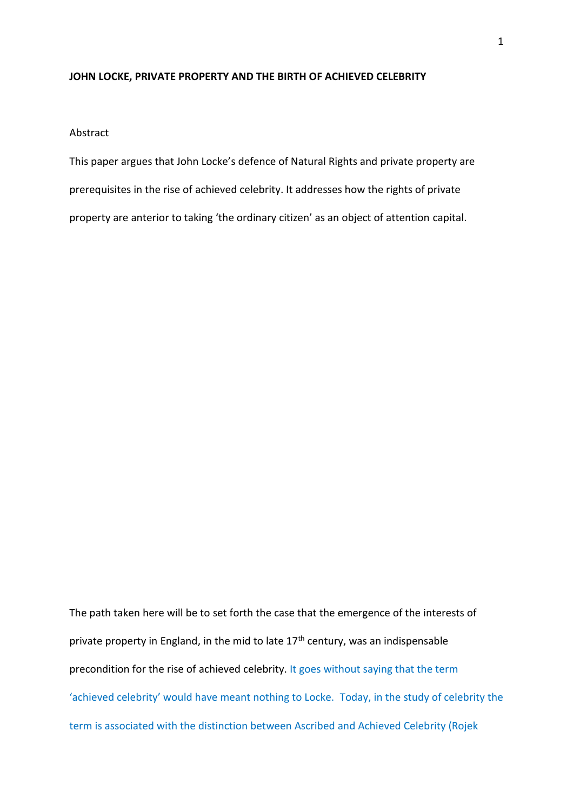#### **JOHN LOCKE, PRIVATE PROPERTY AND THE BIRTH OF ACHIEVED CELEBRITY**

Abstract

This paper argues that John Locke's defence of Natural Rights and private property are prerequisites in the rise of achieved celebrity. It addresses how the rights of private property are anterior to taking 'the ordinary citizen' as an object of attention capital.

The path taken here will be to set forth the case that the emergence of the interests of private property in England, in the mid to late  $17<sup>th</sup>$  century, was an indispensable precondition for the rise of achieved celebrity. It goes without saying that the term 'achieved celebrity' would have meant nothing to Locke. Today, in the study of celebrity the term is associated with the distinction between Ascribed and Achieved Celebrity (Rojek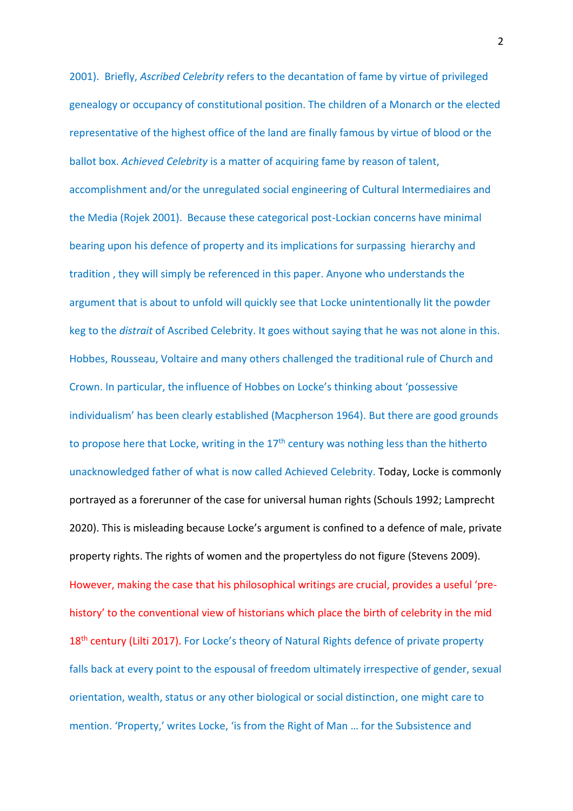2001). Briefly, *Ascribed Celebrity* refers to the decantation of fame by virtue of privileged genealogy or occupancy of constitutional position. The children of a Monarch or the elected representative of the highest office of the land are finally famous by virtue of blood or the ballot box. *Achieved Celebrity* is a matter of acquiring fame by reason of talent, accomplishment and/or the unregulated social engineering of Cultural Intermediaires and the Media (Rojek 2001). Because these categorical post-Lockian concerns have minimal bearing upon his defence of property and its implications for surpassing hierarchy and tradition , they will simply be referenced in this paper. Anyone who understands the argument that is about to unfold will quickly see that Locke unintentionally lit the powder keg to the *distrait* of Ascribed Celebrity. It goes without saying that he was not alone in this. Hobbes, Rousseau, Voltaire and many others challenged the traditional rule of Church and Crown. In particular, the influence of Hobbes on Locke's thinking about 'possessive individualism' has been clearly established (Macpherson 1964). But there are good grounds to propose here that Locke, writing in the  $17<sup>th</sup>$  century was nothing less than the hitherto unacknowledged father of what is now called Achieved Celebrity. Today, Locke is commonly portrayed as a forerunner of the case for universal human rights (Schouls 1992; Lamprecht 2020). This is misleading because Locke's argument is confined to a defence of male, private property rights. The rights of women and the propertyless do not figure (Stevens 2009). However, making the case that his philosophical writings are crucial, provides a useful 'prehistory' to the conventional view of historians which place the birth of celebrity in the mid 18<sup>th</sup> century (Lilti 2017). For Locke's theory of Natural Rights defence of private property falls back at every point to the espousal of freedom ultimately irrespective of gender, sexual orientation, wealth, status or any other biological or social distinction, one might care to mention. 'Property,' writes Locke, 'is from the Right of Man ... for the Subsistence and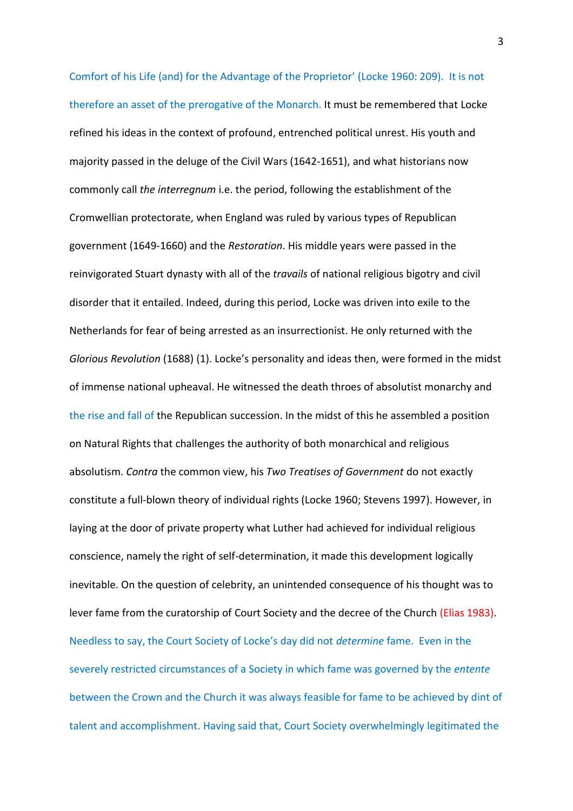Comfort of his Life (and) for the Advantage of the Proprietor' (Locke 1960: 209). It is not therefore an asset of the prerogative of the Monarch. It must be remembered that Locke refined his ideas in the context of profound, entrenched political unrest. His youth and majority passed in the deluge of the Civil Wars (1642-1651), and what historians now commonly call *the interregnum* i.e. the period, following the establishment of the Cromwellian protectorate, when England was ruled by various types of Republican government (1649-1660) and the *Restoration*. His middle years were passed in the reinvigorated Stuart dynasty with all of the *travails* of national religious bigotry and civil disorder that it entailed. Indeed, during this period, Locke was driven into exile to the Netherlands for fear of being arrested as an insurrectionist. He only returned with the *Glorious Revolution* (1688) (1). Locke's personality and ideas then, were formed in the midst of immense national upheaval. He witnessed the death throes of absolutist monarchy and the rise and fall of the Republican succession. In the midst of this he assembled a position on Natural Rights that challenges the authority of both monarchical and religious absolutism. *Contra* the common view, his *Two Treatises of Government* do not exactly constitute a full-blown theory of individual rights (Locke 1960; Stevens 1997). However, in laying at the door of private property what Luther had achieved for individual religious conscience, namely the right of self-determination, it made this development logically inevitable. On the question of celebrity, an unintended consequence of his thought was to lever fame from the curatorship of Court Society and the decree of the Church (Elias 1983). Needless to say, the Court Society of Locke's day did not *determine* fame. Even in the severely restricted circumstances of a Society in which fame was governed by the *entente* between the Crown and the Church it was always feasible for fame to be achieved by dint of talent and accomplishment. Having said that, Court Society overwhelmingly legitimated the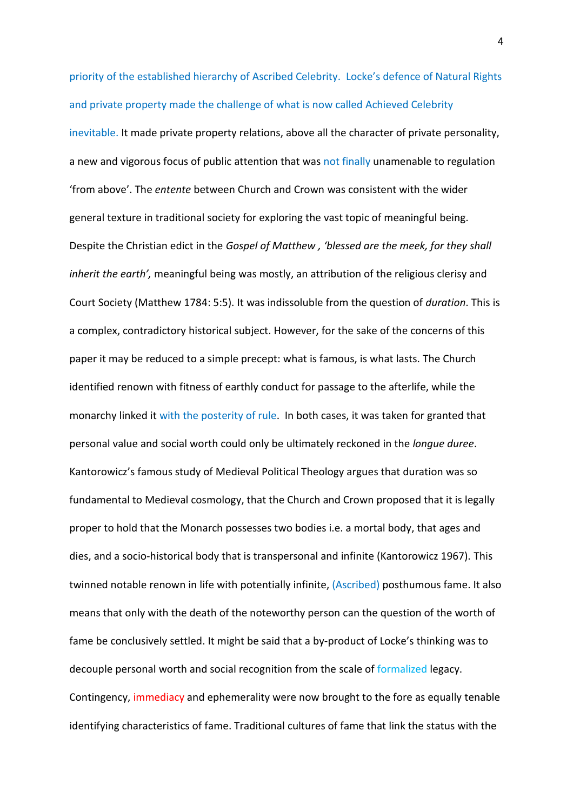priority of the established hierarchy of Ascribed Celebrity. Locke's defence of Natural Rights and private property made the challenge of what is now called Achieved Celebrity

inevitable. It made private property relations, above all the character of private personality, a new and vigorous focus of public attention that was not finally unamenable to regulation 'from above'. The *entente* between Church and Crown was consistent with the wider general texture in traditional society for exploring the vast topic of meaningful being. Despite the Christian edict in the *Gospel of Matthew , 'blessed are the meek, for they shall inherit the earth',* meaningful being was mostly, an attribution of the religious clerisy and Court Society (Matthew 1784: 5:5). It was indissoluble from the question of *duration*. This is a complex, contradictory historical subject. However, for the sake of the concerns of this paper it may be reduced to a simple precept: what is famous, is what lasts. The Church identified renown with fitness of earthly conduct for passage to the afterlife, while the monarchy linked it with the posterity of rule. In both cases, it was taken for granted that personal value and social worth could only be ultimately reckoned in the *longue duree*. Kantorowicz's famous study of Medieval Political Theology argues that duration was so fundamental to Medieval cosmology, that the Church and Crown proposed that it is legally proper to hold that the Monarch possesses two bodies i.e. a mortal body, that ages and dies, and a socio-historical body that is transpersonal and infinite (Kantorowicz 1967). This twinned notable renown in life with potentially infinite, (Ascribed) posthumous fame. It also means that only with the death of the noteworthy person can the question of the worth of fame be conclusively settled. It might be said that a by-product of Locke's thinking was to decouple personal worth and social recognition from the scale of formalized legacy. Contingency, immediacy and ephemerality were now brought to the fore as equally tenable identifying characteristics of fame. Traditional cultures of fame that link the status with the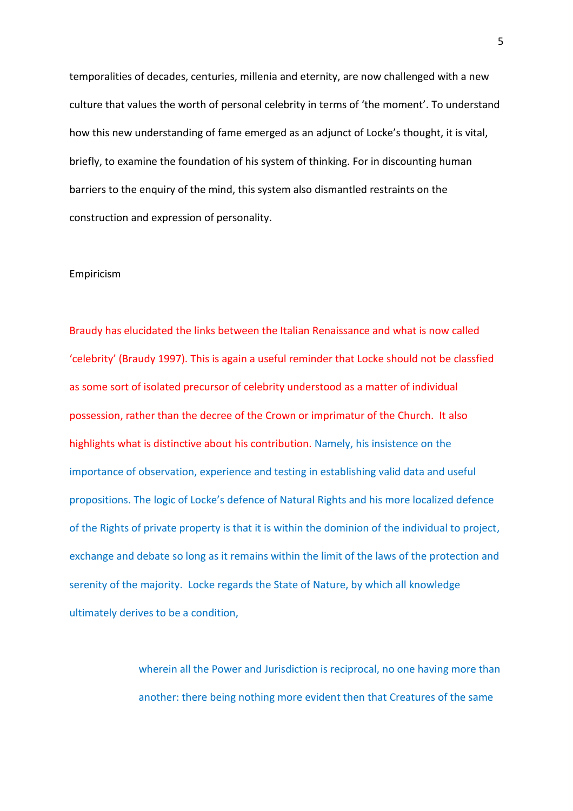temporalities of decades, centuries, millenia and eternity, are now challenged with a new culture that values the worth of personal celebrity in terms of 'the moment'. To understand how this new understanding of fame emerged as an adjunct of Locke's thought, it is vital, briefly, to examine the foundation of his system of thinking. For in discounting human barriers to the enquiry of the mind, this system also dismantled restraints on the construction and expression of personality.

#### Empiricism

Braudy has elucidated the links between the Italian Renaissance and what is now called 'celebrity' (Braudy 1997). This is again a useful reminder that Locke should not be classfied as some sort of isolated precursor of celebrity understood as a matter of individual possession, rather than the decree of the Crown or imprimatur of the Church. It also highlights what is distinctive about his contribution. Namely, his insistence on the importance of observation, experience and testing in establishing valid data and useful propositions. The logic of Locke's defence of Natural Rights and his more localized defence of the Rights of private property is that it is within the dominion of the individual to project, exchange and debate so long as it remains within the limit of the laws of the protection and serenity of the majority. Locke regards the State of Nature, by which all knowledge ultimately derives to be a condition,

> wherein all the Power and Jurisdiction is reciprocal, no one having more than another: there being nothing more evident then that Creatures of the same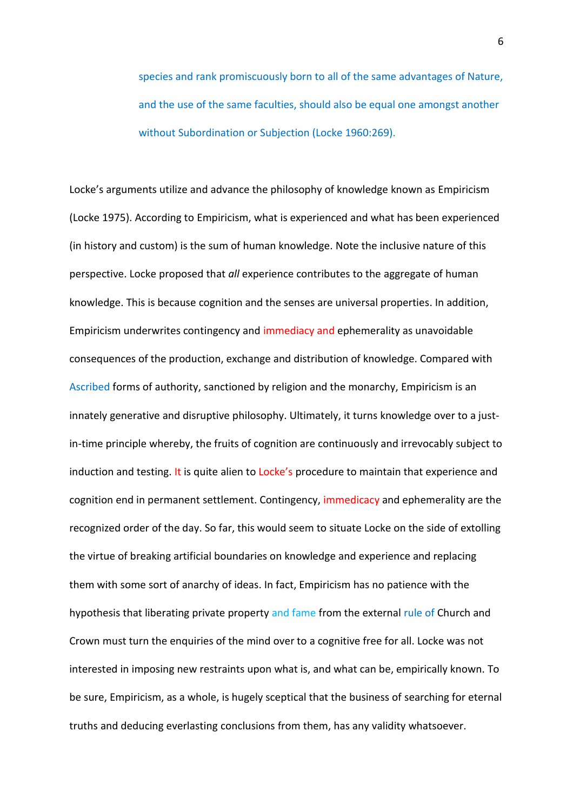species and rank promiscuously born to all of the same advantages of Nature, and the use of the same faculties, should also be equal one amongst another without Subordination or Subjection (Locke 1960:269).

Locke's arguments utilize and advance the philosophy of knowledge known as Empiricism (Locke 1975). According to Empiricism, what is experienced and what has been experienced (in history and custom) is the sum of human knowledge. Note the inclusive nature of this perspective. Locke proposed that *all* experience contributes to the aggregate of human knowledge. This is because cognition and the senses are universal properties. In addition, Empiricism underwrites contingency and immediacy and ephemerality as unavoidable consequences of the production, exchange and distribution of knowledge. Compared with Ascribed forms of authority, sanctioned by religion and the monarchy, Empiricism is an innately generative and disruptive philosophy. Ultimately, it turns knowledge over to a justin-time principle whereby, the fruits of cognition are continuously and irrevocably subject to induction and testing. It is quite alien to Locke's procedure to maintain that experience and cognition end in permanent settlement. Contingency, immedicacy and ephemerality are the recognized order of the day. So far, this would seem to situate Locke on the side of extolling the virtue of breaking artificial boundaries on knowledge and experience and replacing them with some sort of anarchy of ideas. In fact, Empiricism has no patience with the hypothesis that liberating private property and fame from the external rule of Church and Crown must turn the enquiries of the mind over to a cognitive free for all. Locke was not interested in imposing new restraints upon what is, and what can be, empirically known. To be sure, Empiricism, as a whole, is hugely sceptical that the business of searching for eternal truths and deducing everlasting conclusions from them, has any validity whatsoever.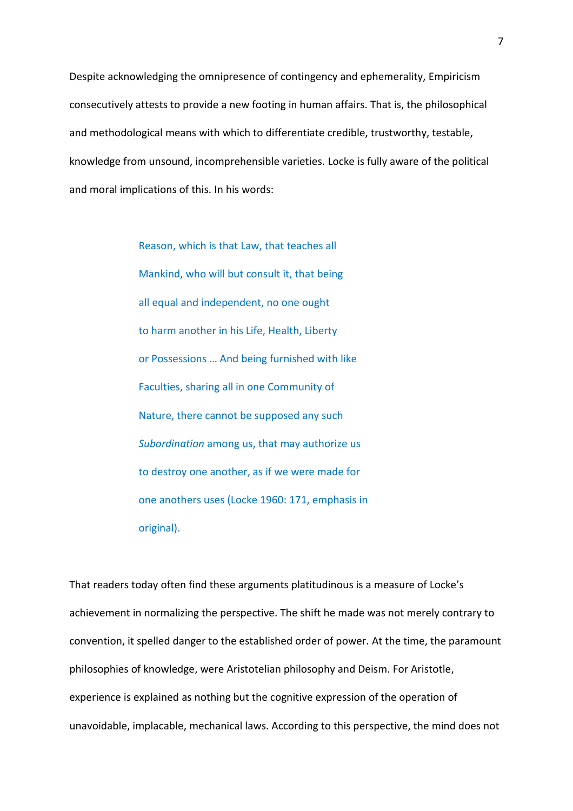Despite acknowledging the omnipresence of contingency and ephemerality, Empiricism consecutively attests to provide a new footing in human affairs. That is, the philosophical and methodological means with which to differentiate credible, trustworthy, testable, knowledge from unsound, incomprehensible varieties. Locke is fully aware of the political and moral implications of this. In his words:

> Reason, which is that Law, that teaches all Mankind, who will but consult it, that being all equal and independent, no one ought to harm another in his Life, Health, Liberty or Possessions … And being furnished with like Faculties, sharing all in one Community of Nature, there cannot be supposed any such *Subordination* among us, that may authorize us to destroy one another, as if we were made for one anothers uses (Locke 1960: 171, emphasis in original).

That readers today often find these arguments platitudinous is a measure of Locke's achievement in normalizing the perspective. The shift he made was not merely contrary to convention, it spelled danger to the established order of power. At the time, the paramount philosophies of knowledge, were Aristotelian philosophy and Deism. For Aristotle, experience is explained as nothing but the cognitive expression of the operation of unavoidable, implacable, mechanical laws. According to this perspective, the mind does not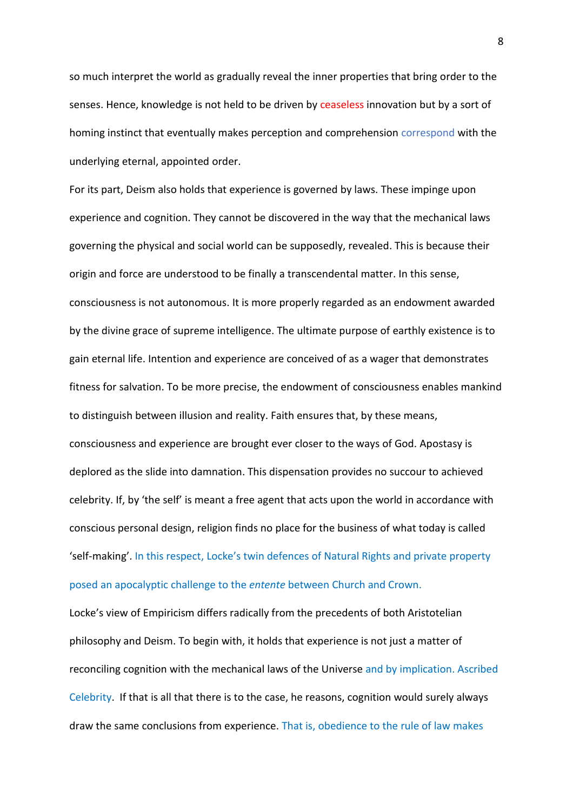so much interpret the world as gradually reveal the inner properties that bring order to the senses. Hence, knowledge is not held to be driven by ceaseless innovation but by a sort of homing instinct that eventually makes perception and comprehension correspond with the underlying eternal, appointed order.

For its part, Deism also holds that experience is governed by laws. These impinge upon experience and cognition. They cannot be discovered in the way that the mechanical laws governing the physical and social world can be supposedly, revealed. This is because their origin and force are understood to be finally a transcendental matter. In this sense, consciousness is not autonomous. It is more properly regarded as an endowment awarded by the divine grace of supreme intelligence. The ultimate purpose of earthly existence is to gain eternal life. Intention and experience are conceived of as a wager that demonstrates fitness for salvation. To be more precise, the endowment of consciousness enables mankind to distinguish between illusion and reality. Faith ensures that, by these means, consciousness and experience are brought ever closer to the ways of God. Apostasy is deplored as the slide into damnation. This dispensation provides no succour to achieved celebrity. If, by 'the self' is meant a free agent that acts upon the world in accordance with conscious personal design, religion finds no place for the business of what today is called 'self-making'. In this respect, Locke's twin defences of Natural Rights and private property posed an apocalyptic challenge to the *entente* between Church and Crown.

Locke's view of Empiricism differs radically from the precedents of both Aristotelian philosophy and Deism. To begin with, it holds that experience is not just a matter of reconciling cognition with the mechanical laws of the Universe and by implication. Ascribed Celebrity. If that is all that there is to the case, he reasons, cognition would surely always draw the same conclusions from experience. That is, obedience to the rule of law makes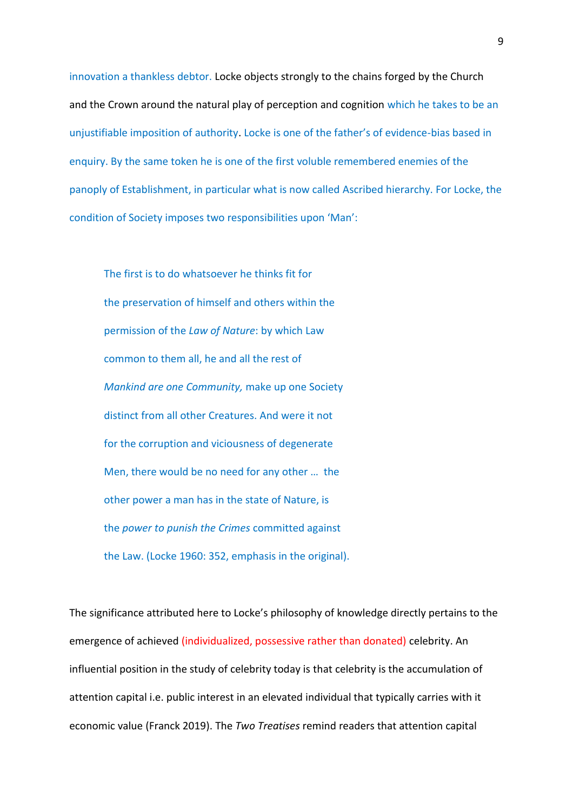innovation a thankless debtor. Locke objects strongly to the chains forged by the Church and the Crown around the natural play of perception and cognition which he takes to be an unjustifiable imposition of authority. Locke is one of the father's of evidence-bias based in enquiry. By the same token he is one of the first voluble remembered enemies of the panoply of Establishment, in particular what is now called Ascribed hierarchy. For Locke, the condition of Society imposes two responsibilities upon 'Man':

The first is to do whatsoever he thinks fit for the preservation of himself and others within the permission of the *Law of Nature*: by which Law common to them all, he and all the rest of *Mankind are one Community,* make up one Society distinct from all other Creatures. And were it not for the corruption and viciousness of degenerate Men, there would be no need for any other … the other power a man has in the state of Nature, is the *power to punish the Crimes* committed against the Law. (Locke 1960: 352, emphasis in the original).

The significance attributed here to Locke's philosophy of knowledge directly pertains to the emergence of achieved (individualized, possessive rather than donated) celebrity. An influential position in the study of celebrity today is that celebrity is the accumulation of attention capital i.e. public interest in an elevated individual that typically carries with it economic value (Franck 2019). The *Two Treatises* remind readers that attention capital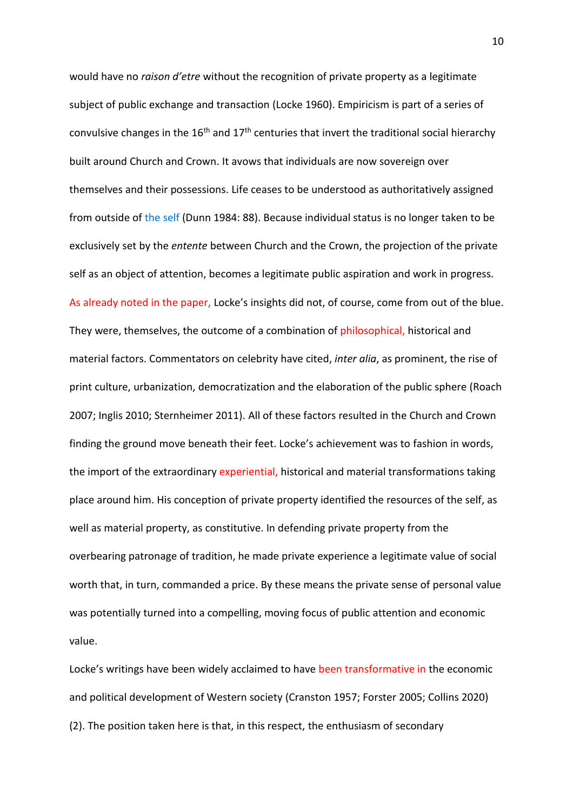would have no *raison d'etre* without the recognition of private property as a legitimate subject of public exchange and transaction (Locke 1960). Empiricism is part of a series of convulsive changes in the  $16<sup>th</sup>$  and  $17<sup>th</sup>$  centuries that invert the traditional social hierarchy built around Church and Crown. It avows that individuals are now sovereign over themselves and their possessions. Life ceases to be understood as authoritatively assigned from outside of the self (Dunn 1984: 88). Because individual status is no longer taken to be exclusively set by the *entente* between Church and the Crown, the projection of the private self as an object of attention, becomes a legitimate public aspiration and work in progress. As already noted in the paper, Locke's insights did not, of course, come from out of the blue. They were, themselves, the outcome of a combination of philosophical, historical and material factors. Commentators on celebrity have cited, *inter alia*, as prominent, the rise of print culture, urbanization, democratization and the elaboration of the public sphere (Roach 2007; Inglis 2010; Sternheimer 2011). All of these factors resulted in the Church and Crown finding the ground move beneath their feet. Locke's achievement was to fashion in words, the import of the extraordinary experiential, historical and material transformations taking place around him. His conception of private property identified the resources of the self, as well as material property, as constitutive. In defending private property from the overbearing patronage of tradition, he made private experience a legitimate value of social worth that, in turn, commanded a price. By these means the private sense of personal value was potentially turned into a compelling, moving focus of public attention and economic value.

Locke's writings have been widely acclaimed to have been transformative in the economic and political development of Western society (Cranston 1957; Forster 2005; Collins 2020) (2). The position taken here is that, in this respect, the enthusiasm of secondary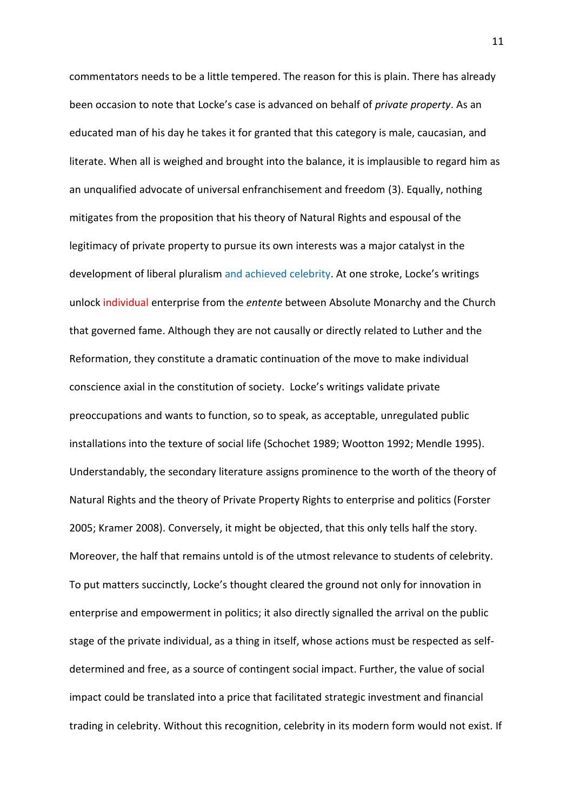commentators needs to be a little tempered. The reason for this is plain. There has already been occasion to note that Locke's case is advanced on behalf of *private property*. As an educated man of his day he takes it for granted that this category is male, caucasian, and literate. When all is weighed and brought into the balance, it is implausible to regard him as an unqualified advocate of universal enfranchisement and freedom (3). Equally, nothing mitigates from the proposition that his theory of Natural Rights and espousal of the legitimacy of private property to pursue its own interests was a major catalyst in the development of liberal pluralism and achieved celebrity. At one stroke, Locke's writings unlock individual enterprise from the *entente* between Absolute Monarchy and the Church that governed fame. Although they are not causally or directly related to Luther and the Reformation, they constitute a dramatic continuation of the move to make individual conscience axial in the constitution of society. Locke's writings validate private preoccupations and wants to function, so to speak, as acceptable, unregulated public installations into the texture of social life (Schochet 1989; Wootton 1992; Mendle 1995). Understandably, the secondary literature assigns prominence to the worth of the theory of Natural Rights and the theory of Private Property Rights to enterprise and politics (Forster 2005; Kramer 2008). Conversely, it might be objected, that this only tells half the story. Moreover, the half that remains untold is of the utmost relevance to students of celebrity. To put matters succinctly, Locke's thought cleared the ground not only for innovation in enterprise and empowerment in politics; it also directly signalled the arrival on the public stage of the private individual, as a thing in itself, whose actions must be respected as selfdetermined and free, as a source of contingent social impact. Further, the value of social impact could be translated into a price that facilitated strategic investment and financial trading in celebrity. Without this recognition, celebrity in its modern form would not exist. If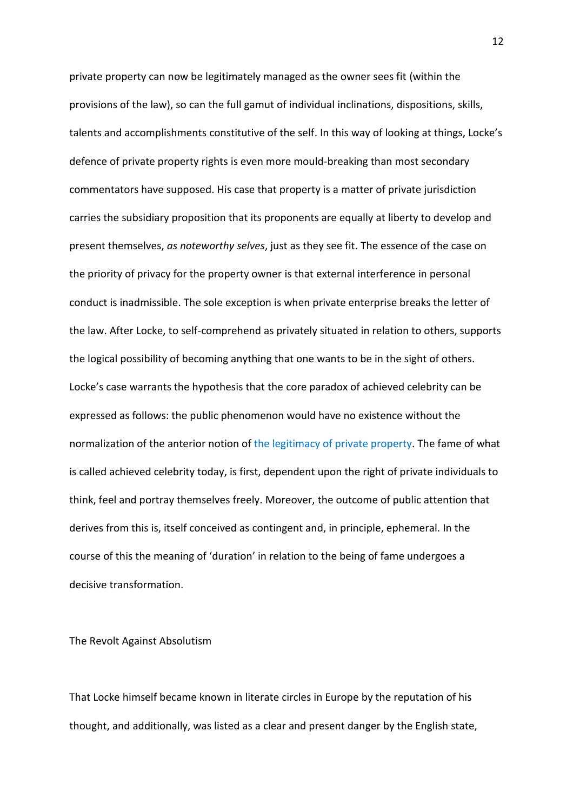private property can now be legitimately managed as the owner sees fit (within the provisions of the law), so can the full gamut of individual inclinations, dispositions, skills, talents and accomplishments constitutive of the self. In this way of looking at things, Locke's defence of private property rights is even more mould-breaking than most secondary commentators have supposed. His case that property is a matter of private jurisdiction carries the subsidiary proposition that its proponents are equally at liberty to develop and present themselves, *as noteworthy selves*, just as they see fit. The essence of the case on the priority of privacy for the property owner is that external interference in personal conduct is inadmissible. The sole exception is when private enterprise breaks the letter of the law. After Locke, to self-comprehend as privately situated in relation to others, supports the logical possibility of becoming anything that one wants to be in the sight of others. Locke's case warrants the hypothesis that the core paradox of achieved celebrity can be expressed as follows: the public phenomenon would have no existence without the normalization of the anterior notion of the legitimacy of private property. The fame of what is called achieved celebrity today, is first, dependent upon the right of private individuals to think, feel and portray themselves freely. Moreover, the outcome of public attention that derives from this is, itself conceived as contingent and, in principle, ephemeral. In the course of this the meaning of 'duration' in relation to the being of fame undergoes a decisive transformation.

The Revolt Against Absolutism

That Locke himself became known in literate circles in Europe by the reputation of his thought, and additionally, was listed as a clear and present danger by the English state,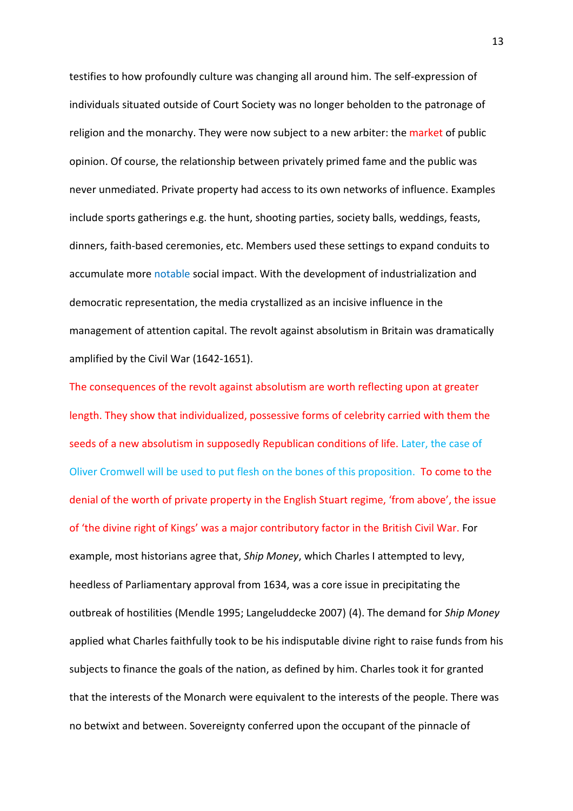testifies to how profoundly culture was changing all around him. The self-expression of individuals situated outside of Court Society was no longer beholden to the patronage of religion and the monarchy. They were now subject to a new arbiter: the market of public opinion. Of course, the relationship between privately primed fame and the public was never unmediated. Private property had access to its own networks of influence. Examples include sports gatherings e.g. the hunt, shooting parties, society balls, weddings, feasts, dinners, faith-based ceremonies, etc. Members used these settings to expand conduits to accumulate more notable social impact. With the development of industrialization and democratic representation, the media crystallized as an incisive influence in the management of attention capital. The revolt against absolutism in Britain was dramatically amplified by the Civil War (1642-1651).

The consequences of the revolt against absolutism are worth reflecting upon at greater length. They show that individualized, possessive forms of celebrity carried with them the seeds of a new absolutism in supposedly Republican conditions of life. Later, the case of Oliver Cromwell will be used to put flesh on the bones of this proposition. To come to the denial of the worth of private property in the English Stuart regime, 'from above', the issue of 'the divine right of Kings' was a major contributory factor in the British Civil War. For example, most historians agree that, *Ship Money*, which Charles I attempted to levy, heedless of Parliamentary approval from 1634, was a core issue in precipitating the outbreak of hostilities (Mendle 1995; Langeluddecke 2007) (4). The demand for *Ship Money* applied what Charles faithfully took to be his indisputable divine right to raise funds from his subjects to finance the goals of the nation, as defined by him. Charles took it for granted that the interests of the Monarch were equivalent to the interests of the people. There was no betwixt and between. Sovereignty conferred upon the occupant of the pinnacle of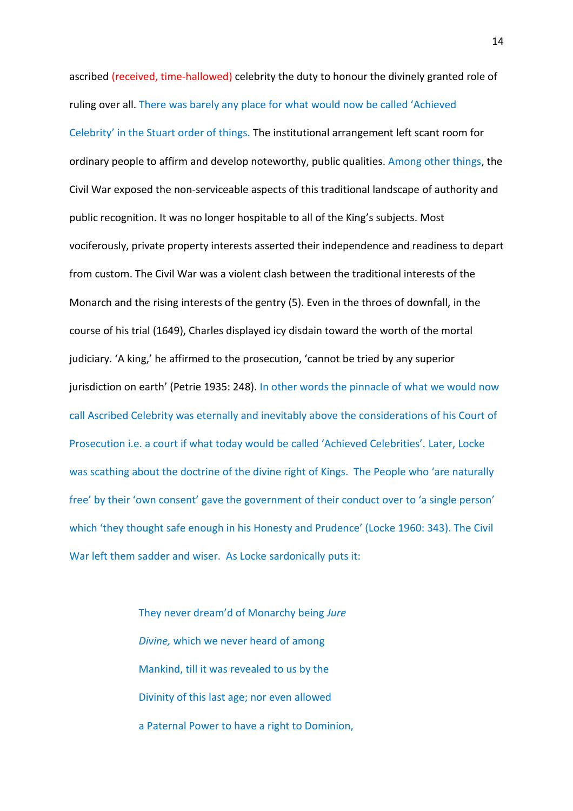ascribed (received, time-hallowed) celebrity the duty to honour the divinely granted role of ruling over all. There was barely any place for what would now be called 'Achieved Celebrity' in the Stuart order of things. The institutional arrangement left scant room for ordinary people to affirm and develop noteworthy, public qualities. Among other things, the Civil War exposed the non-serviceable aspects of this traditional landscape of authority and public recognition. It was no longer hospitable to all of the King's subjects. Most vociferously, private property interests asserted their independence and readiness to depart from custom. The Civil War was a violent clash between the traditional interests of the Monarch and the rising interests of the gentry (5). Even in the throes of downfall, in the course of his trial (1649), Charles displayed icy disdain toward the worth of the mortal judiciary. 'A king,' he affirmed to the prosecution, 'cannot be tried by any superior jurisdiction on earth' (Petrie 1935: 248). In other words the pinnacle of what we would now call Ascribed Celebrity was eternally and inevitably above the considerations of his Court of Prosecution i.e. a court if what today would be called 'Achieved Celebrities'. Later, Locke was scathing about the doctrine of the divine right of Kings. The People who 'are naturally free' by their 'own consent' gave the government of their conduct over to 'a single person' which 'they thought safe enough in his Honesty and Prudence' (Locke 1960: 343). The Civil War left them sadder and wiser. As Locke sardonically puts it:

> They never dream'd of Monarchy being *Jure Divine,* which we never heard of among Mankind, till it was revealed to us by the Divinity of this last age; nor even allowed a Paternal Power to have a right to Dominion,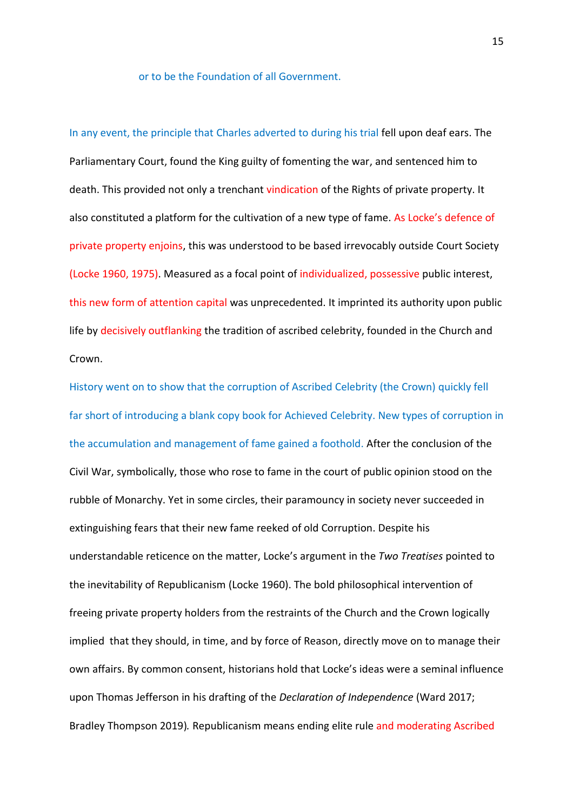## or to be the Foundation of all Government.

In any event, the principle that Charles adverted to during his trial fell upon deaf ears. The Parliamentary Court, found the King guilty of fomenting the war, and sentenced him to death. This provided not only a trenchant vindication of the Rights of private property. It also constituted a platform for the cultivation of a new type of fame. As Locke's defence of private property enjoins, this was understood to be based irrevocably outside Court Society (Locke 1960, 1975). Measured as a focal point of individualized, possessive public interest, this new form of attention capital was unprecedented. It imprinted its authority upon public life by decisively outflanking the tradition of ascribed celebrity, founded in the Church and Crown.

History went on to show that the corruption of Ascribed Celebrity (the Crown) quickly fell far short of introducing a blank copy book for Achieved Celebrity. New types of corruption in the accumulation and management of fame gained a foothold. After the conclusion of the Civil War, symbolically, those who rose to fame in the court of public opinion stood on the rubble of Monarchy. Yet in some circles, their paramouncy in society never succeeded in extinguishing fears that their new fame reeked of old Corruption. Despite his understandable reticence on the matter, Locke's argument in the *Two Treatises* pointed to the inevitability of Republicanism (Locke 1960). The bold philosophical intervention of freeing private property holders from the restraints of the Church and the Crown logically implied that they should, in time, and by force of Reason, directly move on to manage their own affairs. By common consent, historians hold that Locke's ideas were a seminal influence upon Thomas Jefferson in his drafting of the *Declaration of Independence* (Ward 2017; Bradley Thompson 2019)*.* Republicanism means ending elite rule and moderating Ascribed

15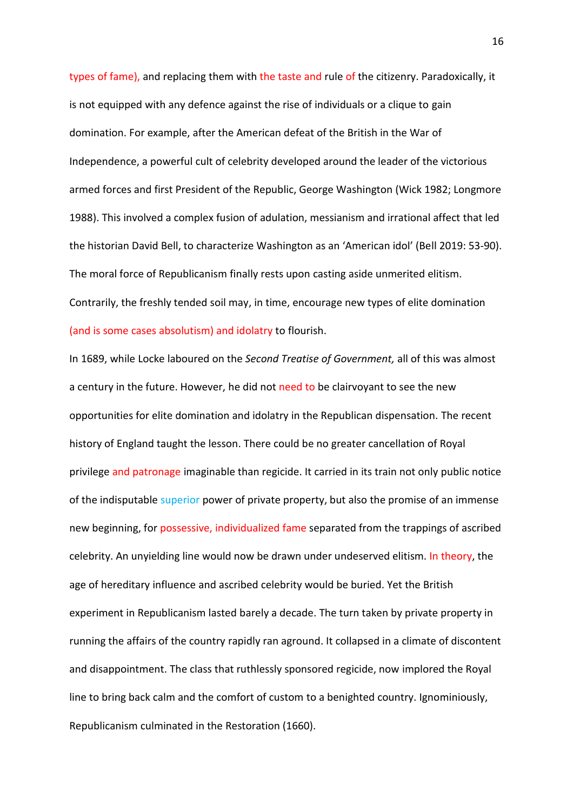types of fame), and replacing them with the taste and rule of the citizenry. Paradoxically, it is not equipped with any defence against the rise of individuals or a clique to gain domination. For example, after the American defeat of the British in the War of Independence, a powerful cult of celebrity developed around the leader of the victorious armed forces and first President of the Republic, George Washington (Wick 1982; Longmore 1988). This involved a complex fusion of adulation, messianism and irrational affect that led the historian David Bell, to characterize Washington as an 'American idol' (Bell 2019: 53-90). The moral force of Republicanism finally rests upon casting aside unmerited elitism. Contrarily, the freshly tended soil may, in time, encourage new types of elite domination (and is some cases absolutism) and idolatry to flourish.

In 1689, while Locke laboured on the *Second Treatise of Government,* all of this was almost a century in the future. However, he did not need to be clairvoyant to see the new opportunities for elite domination and idolatry in the Republican dispensation. The recent history of England taught the lesson. There could be no greater cancellation of Royal privilege and patronage imaginable than regicide. It carried in its train not only public notice of the indisputable superior power of private property, but also the promise of an immense new beginning, for possessive, individualized fame separated from the trappings of ascribed celebrity. An unyielding line would now be drawn under undeserved elitism. In theory, the age of hereditary influence and ascribed celebrity would be buried. Yet the British experiment in Republicanism lasted barely a decade. The turn taken by private property in running the affairs of the country rapidly ran aground. It collapsed in a climate of discontent and disappointment. The class that ruthlessly sponsored regicide, now implored the Royal line to bring back calm and the comfort of custom to a benighted country. Ignominiously, Republicanism culminated in the Restoration (1660).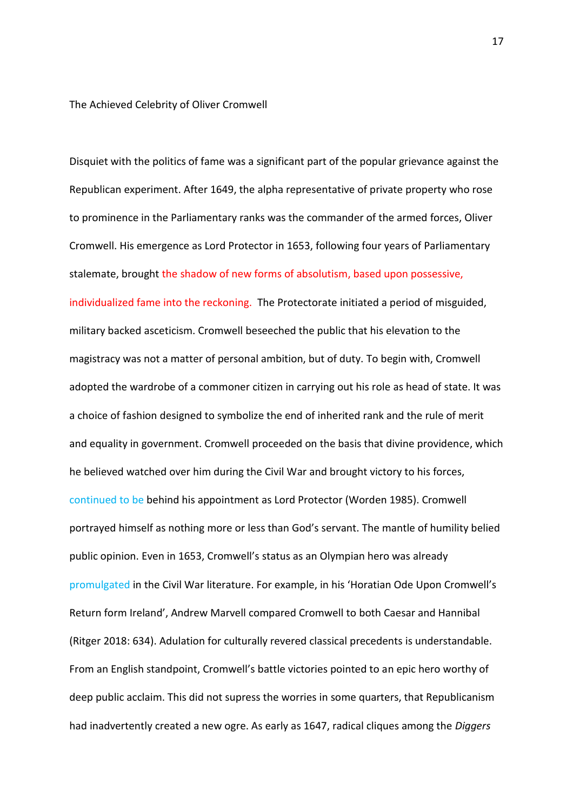The Achieved Celebrity of Oliver Cromwell

Disquiet with the politics of fame was a significant part of the popular grievance against the Republican experiment. After 1649, the alpha representative of private property who rose to prominence in the Parliamentary ranks was the commander of the armed forces, Oliver Cromwell. His emergence as Lord Protector in 1653, following four years of Parliamentary stalemate, brought the shadow of new forms of absolutism, based upon possessive, individualized fame into the reckoning. The Protectorate initiated a period of misguided, military backed asceticism. Cromwell beseeched the public that his elevation to the magistracy was not a matter of personal ambition, but of duty. To begin with, Cromwell adopted the wardrobe of a commoner citizen in carrying out his role as head of state. It was a choice of fashion designed to symbolize the end of inherited rank and the rule of merit and equality in government. Cromwell proceeded on the basis that divine providence, which he believed watched over him during the Civil War and brought victory to his forces, continued to be behind his appointment as Lord Protector (Worden 1985). Cromwell portrayed himself as nothing more or less than God's servant. The mantle of humility belied public opinion. Even in 1653, Cromwell's status as an Olympian hero was already promulgated in the Civil War literature. For example, in his 'Horatian Ode Upon Cromwell's Return form Ireland', Andrew Marvell compared Cromwell to both Caesar and Hannibal (Ritger 2018: 634). Adulation for culturally revered classical precedents is understandable. From an English standpoint, Cromwell's battle victories pointed to an epic hero worthy of deep public acclaim. This did not supress the worries in some quarters, that Republicanism had inadvertently created a new ogre. As early as 1647, radical cliques among the *Diggers*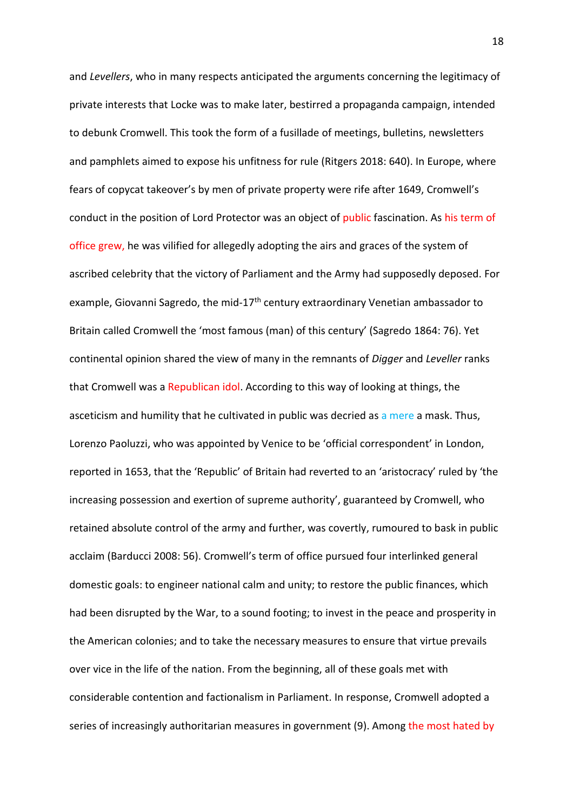and *Levellers*, who in many respects anticipated the arguments concerning the legitimacy of private interests that Locke was to make later, bestirred a propaganda campaign, intended to debunk Cromwell. This took the form of a fusillade of meetings, bulletins, newsletters and pamphlets aimed to expose his unfitness for rule (Ritgers 2018: 640). In Europe, where fears of copycat takeover's by men of private property were rife after 1649, Cromwell's conduct in the position of Lord Protector was an object of public fascination. As his term of office grew, he was vilified for allegedly adopting the airs and graces of the system of ascribed celebrity that the victory of Parliament and the Army had supposedly deposed. For example, Giovanni Sagredo, the mid- $17<sup>th</sup>$  century extraordinary Venetian ambassador to Britain called Cromwell the 'most famous (man) of this century' (Sagredo 1864: 76). Yet continental opinion shared the view of many in the remnants of *Digger* and *Leveller* ranks that Cromwell was a Republican idol. According to this way of looking at things, the asceticism and humility that he cultivated in public was decried as a mere a mask. Thus, Lorenzo Paoluzzi, who was appointed by Venice to be 'official correspondent' in London, reported in 1653, that the 'Republic' of Britain had reverted to an 'aristocracy' ruled by 'the increasing possession and exertion of supreme authority', guaranteed by Cromwell, who retained absolute control of the army and further, was covertly, rumoured to bask in public acclaim (Barducci 2008: 56). Cromwell's term of office pursued four interlinked general domestic goals: to engineer national calm and unity; to restore the public finances, which had been disrupted by the War, to a sound footing; to invest in the peace and prosperity in the American colonies; and to take the necessary measures to ensure that virtue prevails over vice in the life of the nation. From the beginning, all of these goals met with considerable contention and factionalism in Parliament. In response, Cromwell adopted a series of increasingly authoritarian measures in government (9). Among the most hated by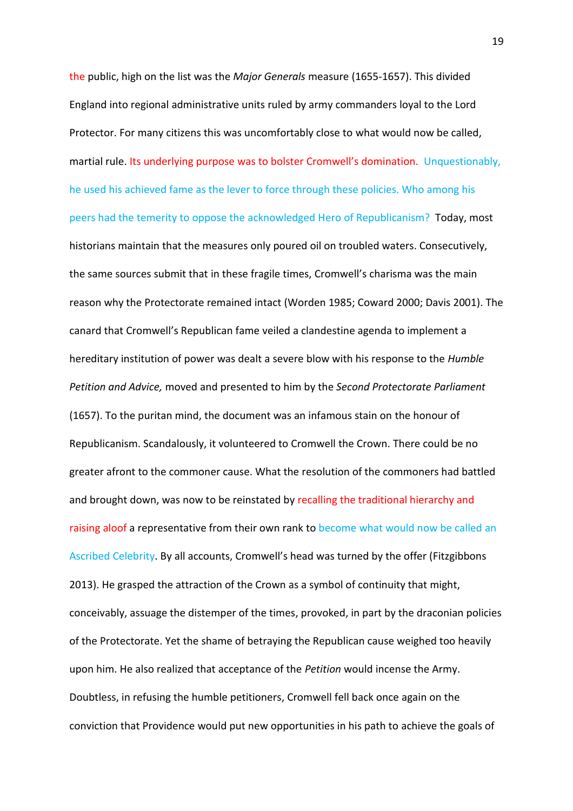the public, high on the list was the *Major Generals* measure (1655-1657). This divided England into regional administrative units ruled by army commanders loyal to the Lord Protector. For many citizens this was uncomfortably close to what would now be called, martial rule. Its underlying purpose was to bolster Cromwell's domination. Unquestionably, he used his achieved fame as the lever to force through these policies. Who among his peers had the temerity to oppose the acknowledged Hero of Republicanism? Today, most historians maintain that the measures only poured oil on troubled waters. Consecutively, the same sources submit that in these fragile times, Cromwell's charisma was the main reason why the Protectorate remained intact (Worden 1985; Coward 2000; Davis 2001). The canard that Cromwell's Republican fame veiled a clandestine agenda to implement a hereditary institution of power was dealt a severe blow with his response to the *Humble Petition and Advice,* moved and presented to him by the *Second Protectorate Parliament* (1657). To the puritan mind, the document was an infamous stain on the honour of Republicanism. Scandalously, it volunteered to Cromwell the Crown. There could be no greater afront to the commoner cause. What the resolution of the commoners had battled and brought down, was now to be reinstated by recalling the traditional hierarchy and raising aloof a representative from their own rank to become what would now be called an Ascribed Celebrity. By all accounts, Cromwell's head was turned by the offer (Fitzgibbons 2013). He grasped the attraction of the Crown as a symbol of continuity that might, conceivably, assuage the distemper of the times, provoked, in part by the draconian policies of the Protectorate. Yet the shame of betraying the Republican cause weighed too heavily upon him. He also realized that acceptance of the *Petition* would incense the Army. Doubtless, in refusing the humble petitioners, Cromwell fell back once again on the conviction that Providence would put new opportunities in his path to achieve the goals of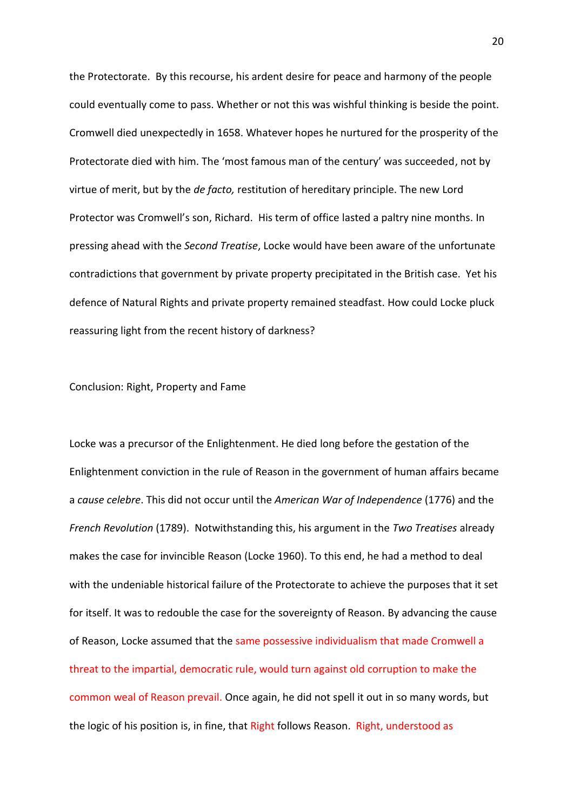the Protectorate. By this recourse, his ardent desire for peace and harmony of the people could eventually come to pass. Whether or not this was wishful thinking is beside the point. Cromwell died unexpectedly in 1658. Whatever hopes he nurtured for the prosperity of the Protectorate died with him. The 'most famous man of the century' was succeeded, not by virtue of merit, but by the *de facto,* restitution of hereditary principle. The new Lord Protector was Cromwell's son, Richard. His term of office lasted a paltry nine months. In pressing ahead with the *Second Treatise*, Locke would have been aware of the unfortunate contradictions that government by private property precipitated in the British case. Yet his defence of Natural Rights and private property remained steadfast. How could Locke pluck reassuring light from the recent history of darkness?

# Conclusion: Right, Property and Fame

Locke was a precursor of the Enlightenment. He died long before the gestation of the Enlightenment conviction in the rule of Reason in the government of human affairs became a *cause celebre*. This did not occur until the *American War of Independence* (1776) and the *French Revolution* (1789). Notwithstanding this, his argument in the *Two Treatises* already makes the case for invincible Reason (Locke 1960). To this end, he had a method to deal with the undeniable historical failure of the Protectorate to achieve the purposes that it set for itself. It was to redouble the case for the sovereignty of Reason. By advancing the cause of Reason, Locke assumed that the same possessive individualism that made Cromwell a threat to the impartial, democratic rule, would turn against old corruption to make the common weal of Reason prevail. Once again, he did not spell it out in so many words, but the logic of his position is, in fine, that Right follows Reason. Right, understood as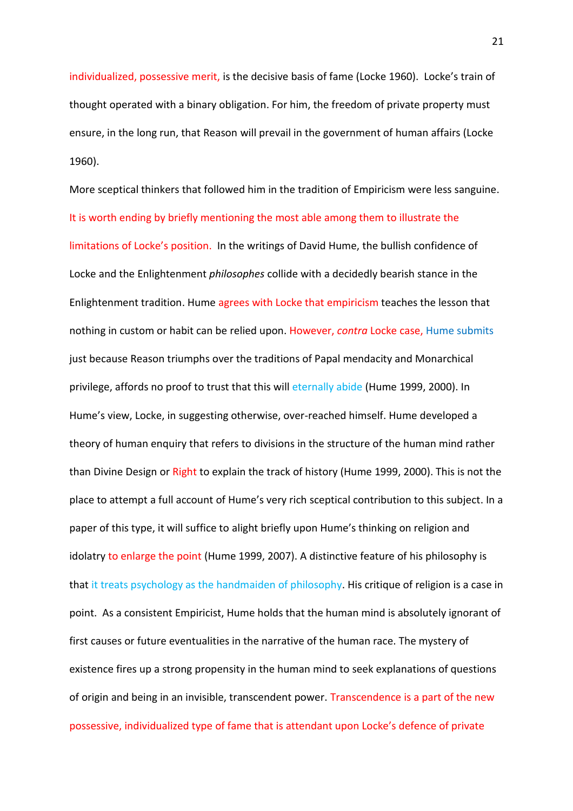individualized, possessive merit, is the decisive basis of fame (Locke 1960). Locke's train of thought operated with a binary obligation. For him, the freedom of private property must ensure, in the long run, that Reason will prevail in the government of human affairs (Locke 1960).

More sceptical thinkers that followed him in the tradition of Empiricism were less sanguine. It is worth ending by briefly mentioning the most able among them to illustrate the limitations of Locke's position. In the writings of David Hume, the bullish confidence of Locke and the Enlightenment *philosophes* collide with a decidedly bearish stance in the Enlightenment tradition. Hume agrees with Locke that empiricism teaches the lesson that nothing in custom or habit can be relied upon. However, *contra* Locke case, Hume submits just because Reason triumphs over the traditions of Papal mendacity and Monarchical privilege, affords no proof to trust that this will eternally abide (Hume 1999, 2000). In Hume's view, Locke, in suggesting otherwise, over-reached himself. Hume developed a theory of human enquiry that refers to divisions in the structure of the human mind rather than Divine Design or Right to explain the track of history (Hume 1999, 2000). This is not the place to attempt a full account of Hume's very rich sceptical contribution to this subject. In a paper of this type, it will suffice to alight briefly upon Hume's thinking on religion and idolatry to enlarge the point (Hume 1999, 2007). A distinctive feature of his philosophy is that it treats psychology as the handmaiden of philosophy. His critique of religion is a case in point. As a consistent Empiricist, Hume holds that the human mind is absolutely ignorant of first causes or future eventualities in the narrative of the human race. The mystery of existence fires up a strong propensity in the human mind to seek explanations of questions of origin and being in an invisible, transcendent power. Transcendence is a part of the new possessive, individualized type of fame that is attendant upon Locke's defence of private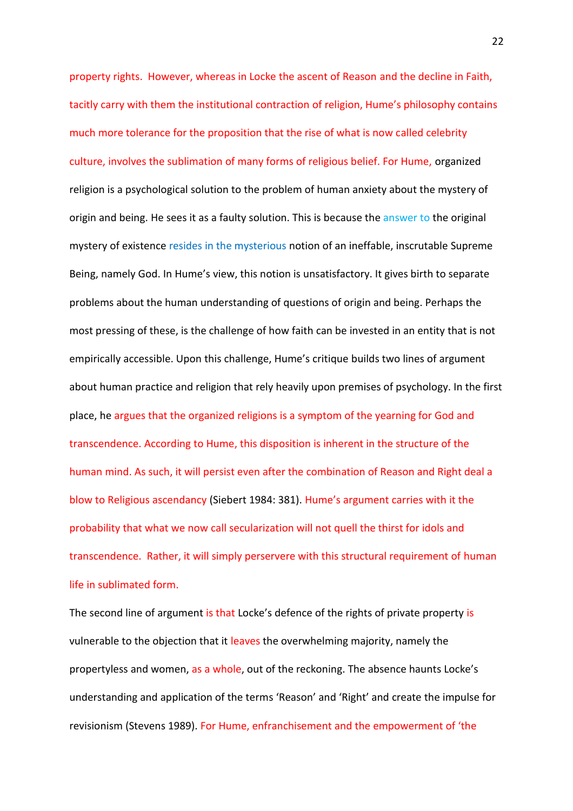property rights. However, whereas in Locke the ascent of Reason and the decline in Faith, tacitly carry with them the institutional contraction of religion, Hume's philosophy contains much more tolerance for the proposition that the rise of what is now called celebrity culture, involves the sublimation of many forms of religious belief. For Hume, organized religion is a psychological solution to the problem of human anxiety about the mystery of origin and being. He sees it as a faulty solution. This is because the answer to the original mystery of existence resides in the mysterious notion of an ineffable, inscrutable Supreme Being, namely God. In Hume's view, this notion is unsatisfactory. It gives birth to separate problems about the human understanding of questions of origin and being. Perhaps the most pressing of these, is the challenge of how faith can be invested in an entity that is not empirically accessible. Upon this challenge, Hume's critique builds two lines of argument about human practice and religion that rely heavily upon premises of psychology. In the first place, he argues that the organized religions is a symptom of the yearning for God and transcendence. According to Hume, this disposition is inherent in the structure of the human mind. As such, it will persist even after the combination of Reason and Right deal a blow to Religious ascendancy (Siebert 1984: 381). Hume's argument carries with it the probability that what we now call secularization will not quell the thirst for idols and transcendence. Rather, it will simply perservere with this structural requirement of human life in sublimated form.

The second line of argument is that Locke's defence of the rights of private property is vulnerable to the objection that it leaves the overwhelming majority, namely the propertyless and women, as a whole, out of the reckoning. The absence haunts Locke's understanding and application of the terms 'Reason' and 'Right' and create the impulse for revisionism (Stevens 1989). For Hume, enfranchisement and the empowerment of 'the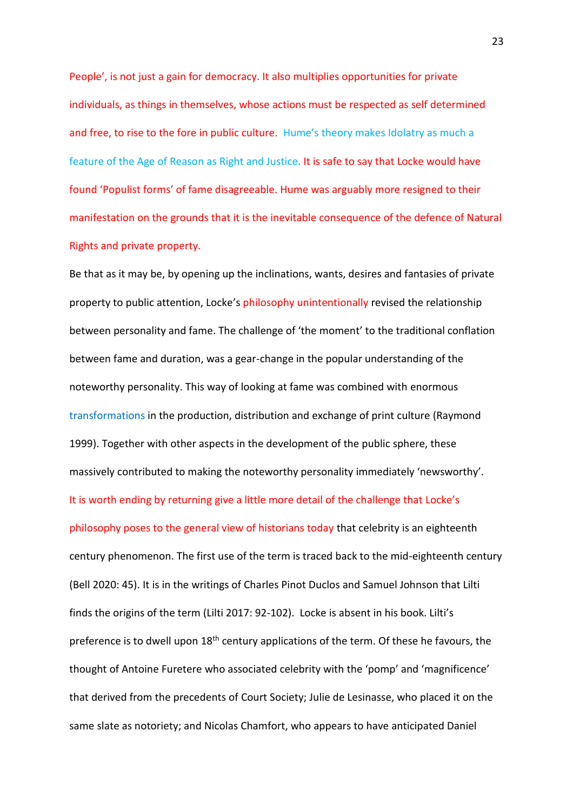People', is not just a gain for democracy. It also multiplies opportunities for private individuals, as things in themselves, whose actions must be respected as self determined and free, to rise to the fore in public culture. Hume's theory makes Idolatry as much a feature of the Age of Reason as Right and Justice. It is safe to say that Locke would have found 'Populist forms' of fame disagreeable. Hume was arguably more resigned to their manifestation on the grounds that it is the inevitable consequence of the defence of Natural Rights and private property.

Be that as it may be, by opening up the inclinations, wants, desires and fantasies of private property to public attention, Locke's philosophy unintentionally revised the relationship between personality and fame. The challenge of 'the moment' to the traditional conflation between fame and duration, was a gear-change in the popular understanding of the noteworthy personality. This way of looking at fame was combined with enormous transformations in the production, distribution and exchange of print culture (Raymond 1999). Together with other aspects in the development of the public sphere, these massively contributed to making the noteworthy personality immediately 'newsworthy'. It is worth ending by returning give a little more detail of the challenge that Locke's philosophy poses to the general view of historians today that celebrity is an eighteenth century phenomenon. The first use of the term is traced back to the mid-eighteenth century (Bell 2020: 45). It is in the writings of Charles Pinot Duclos and Samuel Johnson that Lilti finds the origins of the term (Lilti 2017: 92-102). Locke is absent in his book. Lilti's preference is to dwell upon  $18<sup>th</sup>$  century applications of the term. Of these he favours, the thought of Antoine Furetere who associated celebrity with the 'pomp' and 'magnificence' that derived from the precedents of Court Society; Julie de Lesinasse, who placed it on the same slate as notoriety; and Nicolas Chamfort, who appears to have anticipated Daniel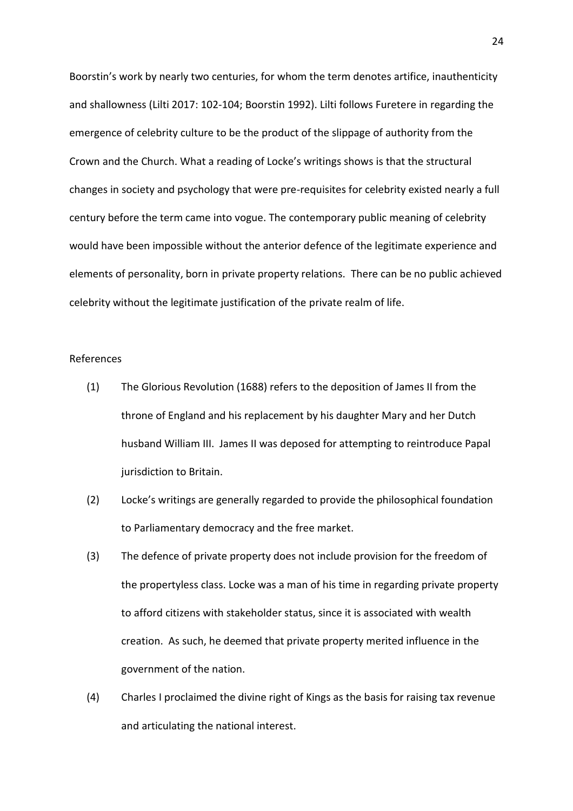Boorstin's work by nearly two centuries, for whom the term denotes artifice, inauthenticity and shallowness (Lilti 2017: 102-104; Boorstin 1992). Lilti follows Furetere in regarding the emergence of celebrity culture to be the product of the slippage of authority from the Crown and the Church. What a reading of Locke's writings shows is that the structural changes in society and psychology that were pre-requisites for celebrity existed nearly a full century before the term came into vogue. The contemporary public meaning of celebrity would have been impossible without the anterior defence of the legitimate experience and elements of personality, born in private property relations. There can be no public achieved celebrity without the legitimate justification of the private realm of life.

# References

- (1) The Glorious Revolution (1688) refers to the deposition of James II from the throne of England and his replacement by his daughter Mary and her Dutch husband William III. James II was deposed for attempting to reintroduce Papal jurisdiction to Britain.
- (2) Locke's writings are generally regarded to provide the philosophical foundation to Parliamentary democracy and the free market.
- (3) The defence of private property does not include provision for the freedom of the propertyless class. Locke was a man of his time in regarding private property to afford citizens with stakeholder status, since it is associated with wealth creation. As such, he deemed that private property merited influence in the government of the nation.
- (4) Charles I proclaimed the divine right of Kings as the basis for raising tax revenue and articulating the national interest.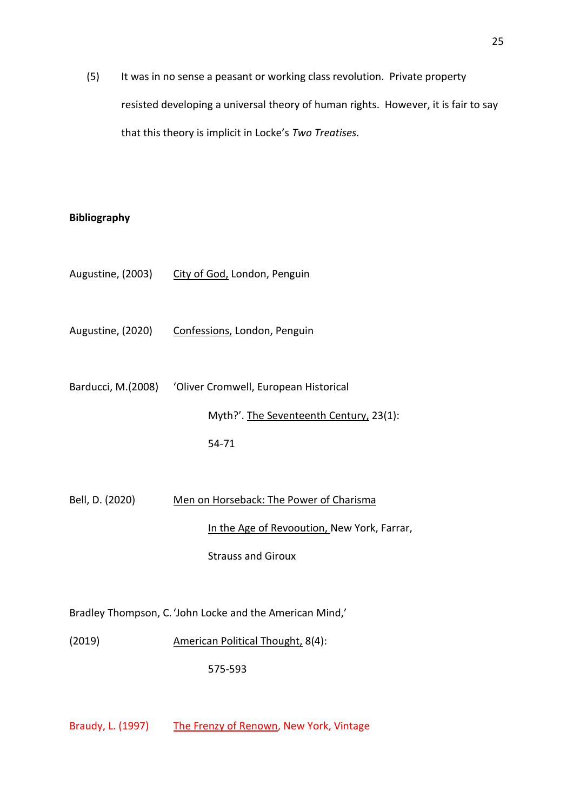(5) It was in no sense a peasant or working class revolution. Private property resisted developing a universal theory of human rights. However, it is fair to say that this theory is implicit in Locke's *Two Treatises.* 

# **Bibliography**

- Augustine, (2003) City of God, London, Penguin
- Augustine, (2020) Confessions, London, Penguin
- Barducci, M.(2008) 'Oliver Cromwell, European Historical Myth?'. The Seventeenth Century, 23(1): 54-71
- Bell, D. (2020) Men on Horseback: The Power of Charisma In the Age of Revooution, New York, Farrar, Strauss and Giroux

Bradley Thompson, C.'John Locke and the American Mind,'

(2019) American Political Thought, 8(4):

575-593

Braudy, L. (1997) The Frenzy of Renown, New York, Vintage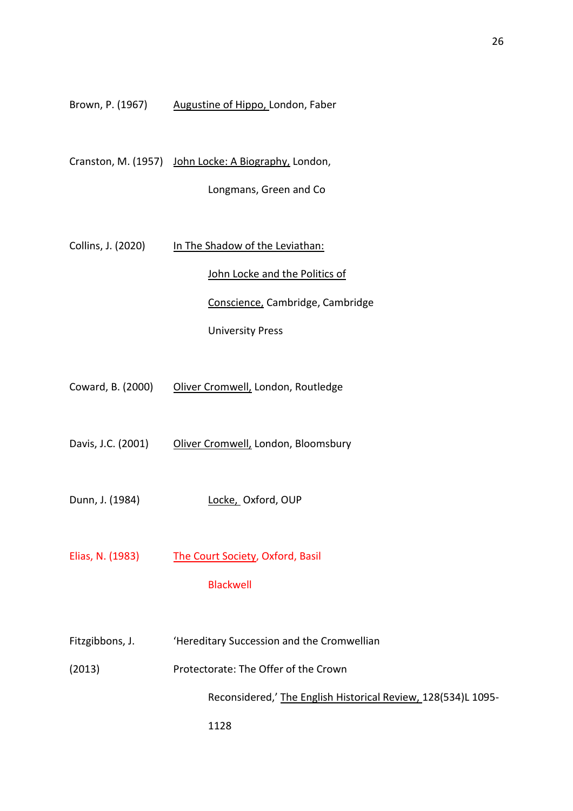| Brown, P. (1967) | Augustine of Hippo, London, Faber |
|------------------|-----------------------------------|
|------------------|-----------------------------------|

Cranston, M. (1957) John Locke: A Biography, London,

Longmans, Green and Co

Collins, J. (2020) In The Shadow of the Leviathan: John Locke and the Politics of Conscience, Cambridge, Cambridge University Press

- Coward, B. (2000) Oliver Cromwell, London, Routledge
- Davis, J.C. (2001) Oliver Cromwell, London, Bloomsbury
- Dunn, J. (1984) Locke, Oxford, OUP
- Elias, N. (1983) The Court Society, Oxford, Basil

# Blackwell

- Fitzgibbons, J. 'Hereditary Succession and the Cromwellian
- (2013) Protectorate: The Offer of the Crown

1128

Reconsidered,' The English Historical Review, 128(534)L 1095-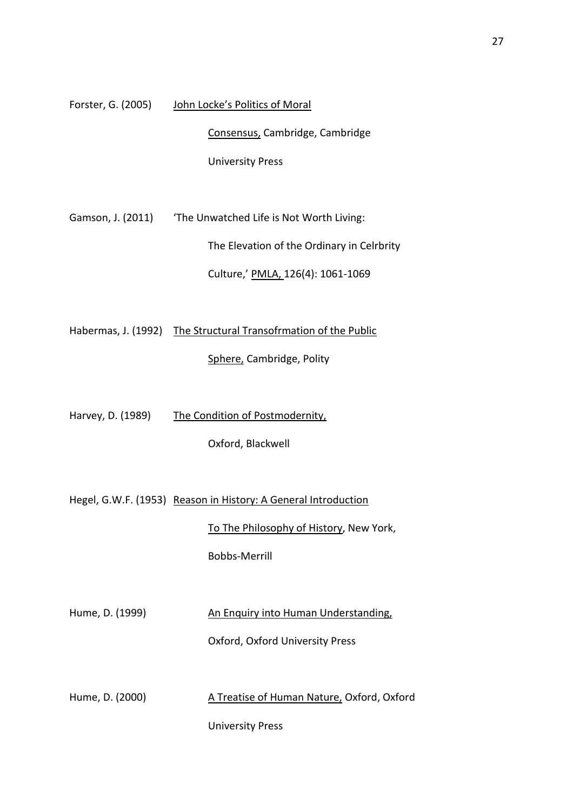Forster, G. (2005) John Locke's Politics of Moral

Consensus, Cambridge, Cambridge

University Press

Gamson, J. (2011) The Unwatched Life is Not Worth Living: The Elevation of the Ordinary in Celrbrity

Culture,' PMLA, 126(4): 1061-1069

Habermas, J. (1992) The Structural Transofrmation of the Public

Sphere, Cambridge, Polity

Harvey, D. (1989) The Condition of Postmodernity,

Oxford, Blackwell

Hegel, G.W.F. (1953) Reason in History: A General Introduction

To The Philosophy of History, New York,

Bobbs-Merrill

Hume, D. (1999) An Enquiry into Human Understanding,

Oxford, Oxford University Press

Hume, D. (2000) A Treatise of Human Nature, Oxford, Oxford

University Press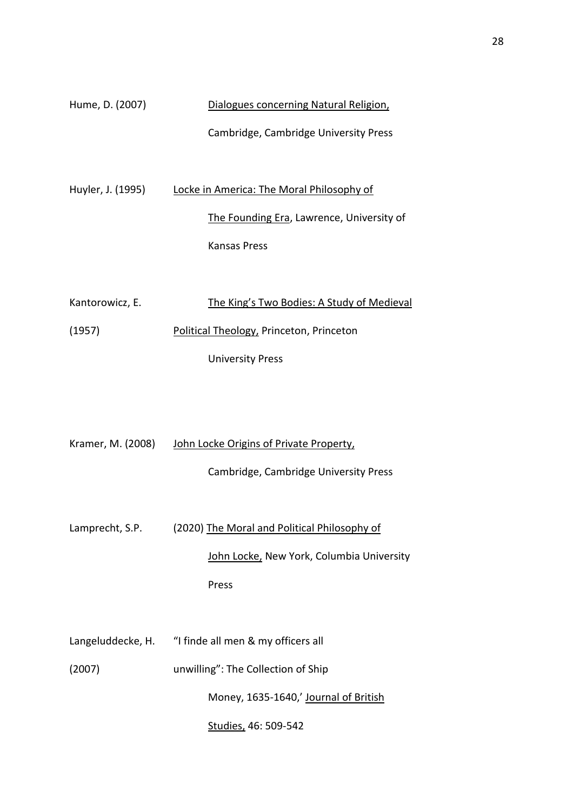| Hume, D. (2007) | Dialogues concerning Natural Religion, |  |
|-----------------|----------------------------------------|--|
|                 | Cambridge, Cambridge University Press  |  |

Huyler, J. (1995) Locke in America: The Moral Philosophy of The Founding Era, Lawrence, University of Kansas Press

| Kantorowicz, E. | The King's Two Bodies: A Study of Medieval |
|-----------------|--------------------------------------------|
|                 |                                            |
| (1957)          | Political Theology, Princeton, Princeton   |
|                 |                                            |
|                 | <b>University Press</b>                    |
|                 |                                            |

| Kramer, M. (2008) | John Locke Origins of Private Property,              |
|-------------------|------------------------------------------------------|
|                   | Cambridge, Cambridge University Press                |
|                   |                                                      |
| Lamprecht, S.P.   | (2020) The Moral and Political Philosophy of         |
|                   | John Locke, New York, Columbia University            |
|                   | Press                                                |
|                   |                                                      |
|                   | Langeluddecke, H. "I finde all men & my officers all |
| (2007)            | unwilling": The Collection of Ship                   |
|                   | Money, 1635-1640,' Journal of British                |
|                   |                                                      |

Studies, 46: 509-542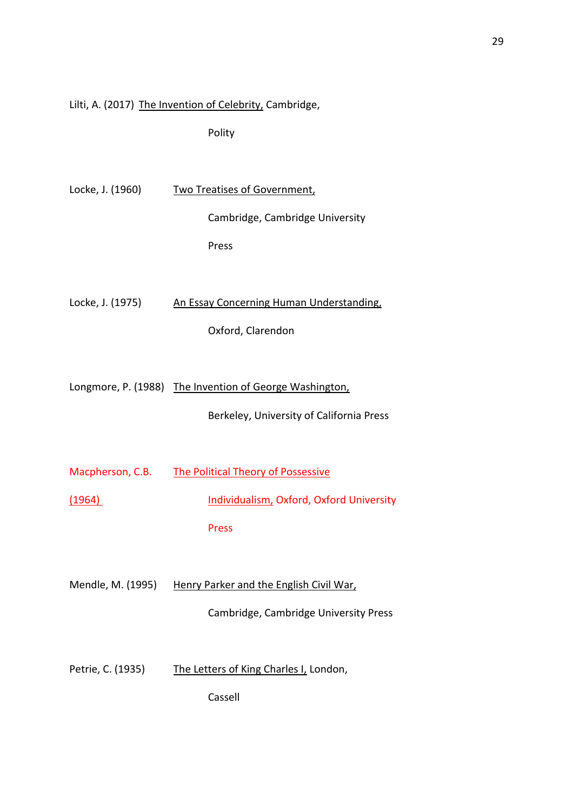# Lilti, A. (2017) The Invention of Celebrity, Cambridge,

Polity

| Locke, J. (1960)  | <b>Two Treatises of Government,</b>                     |
|-------------------|---------------------------------------------------------|
|                   | Cambridge, Cambridge University                         |
|                   | Press                                                   |
|                   |                                                         |
| Locke, J. (1975)  | An Essay Concerning Human Understanding,                |
|                   | Oxford, Clarendon                                       |
|                   |                                                         |
|                   | Longmore, P. (1988) The Invention of George Washington, |
|                   | Berkeley, University of California Press                |
|                   |                                                         |
| Macpherson, C.B.  | <b>The Political Theory of Possessive</b>               |
| (1964)            | Individualism, Oxford, Oxford University                |
|                   | <b>Press</b>                                            |
|                   |                                                         |
| Mendle, M. (1995) | Henry Parker and the English Civil War,                 |
|                   | Cambridge, Cambridge University Press                   |
|                   |                                                         |

Petrie, C. (1935) The Letters of King Charles I, London,

Cassell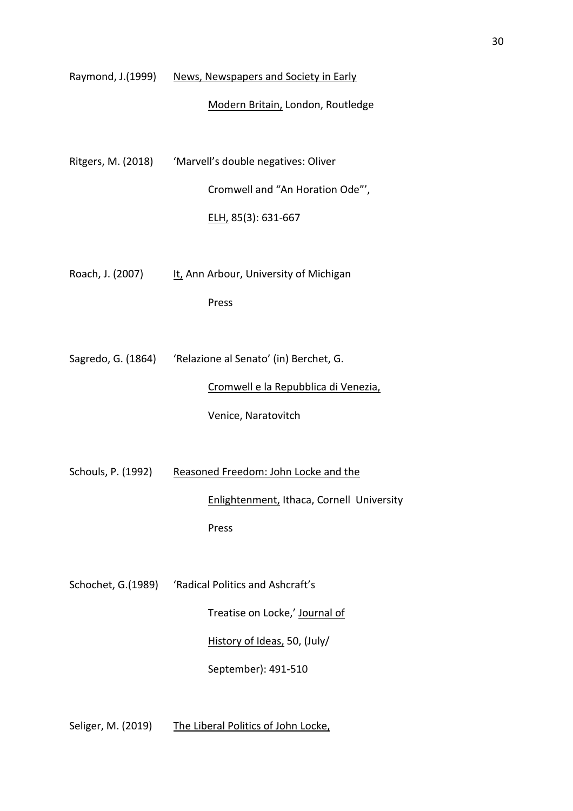|                    | Raymond, J.(1999) News, Newspapers and Society in Early   |
|--------------------|-----------------------------------------------------------|
|                    | Modern Britain, London, Routledge                         |
|                    |                                                           |
|                    | Ritgers, M. (2018) 'Marvell's double negatives: Oliver    |
|                    | Cromwell and "An Horation Ode"',                          |
|                    | ELH, 85(3): 631-667                                       |
|                    |                                                           |
| Roach, J. (2007)   | It, Ann Arbour, University of Michigan                    |
|                    | Press                                                     |
|                    |                                                           |
|                    | Sagredo, G. (1864) 'Relazione al Senato' (in) Berchet, G. |
|                    | Cromwell e la Repubblica di Venezia,                      |
|                    | Venice, Naratovitch                                       |
|                    |                                                           |
| Schouls, P. (1992) | Reasoned Freedom: John Locke and the                      |
|                    | Enlightenment, Ithaca, Cornell University                 |
|                    | Press                                                     |
|                    |                                                           |
|                    | Schochet, G.(1989) 'Radical Politics and Ashcraft's       |
|                    | Treatise on Locke,' Journal of                            |
|                    | History of Ideas, 50, (July/                              |
|                    | September): 491-510                                       |
|                    |                                                           |

Seliger, M. (2019) The Liberal Politics of John Locke,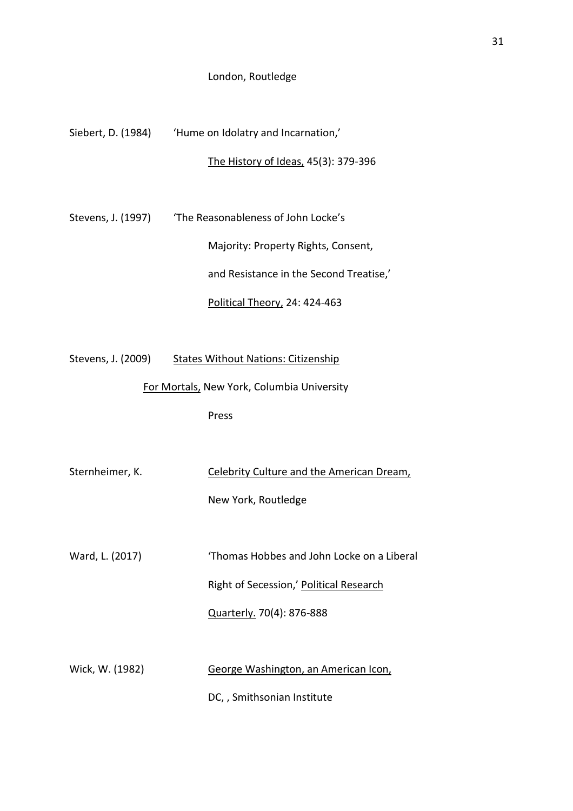## London, Routledge

Siebert, D. (1984) 'Hume on Idolatry and Incarnation,'

# The History of Ideas, 45(3): 379-396

Stevens, J. (1997) The Reasonableness of John Locke's Majority: Property Rights, Consent, and Resistance in the Second Treatise,'

Political Theory, 24: 424-463

Stevens, J. (2009) States Without Nations: Citizenship

For Mortals, New York, Columbia University

Press

Sternheimer, K. Celebrity Culture and the American Dream, New York, Routledge Ward, L. (2017) **Thomas Hobbes and John Locke on a Liberal** 

Right of Secession,' Political Research

Quarterly. 70(4): 876-888

Wick, W. (1982) George Washington, an American Icon,

DC, , Smithsonian Institute